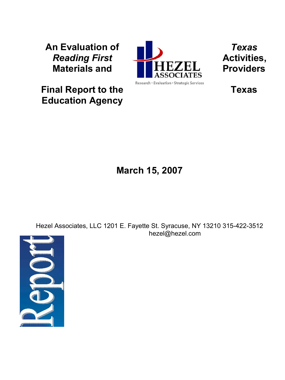**Materials and** 



**Final Report to the Texas Education Agency** 

## **March 15, 2007**

Hezel Associates, LLC 1201 E. Fayette St. Syracuse, NY 13210 315-422-3512 hezel@hezel.com